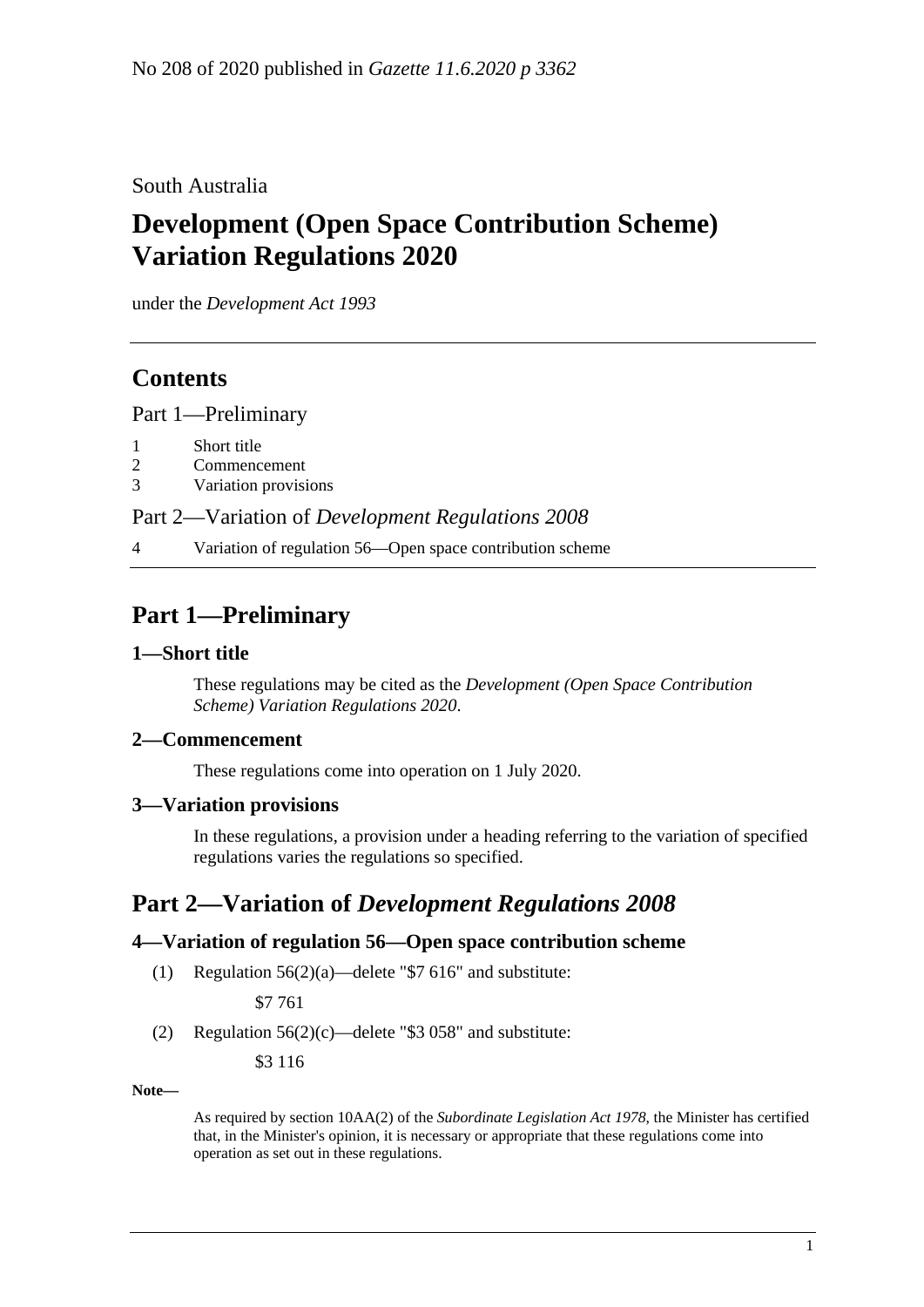#### South Australia

# **Development (Open Space Contribution Scheme) Variation Regulations 2020**

under the *Development Act 1993*

### **Contents**

Part [1—Preliminary](#page-0-0)

- 1 [Short title](#page-0-1)
- 2 [Commencement](#page-0-2)
- 3 [Variation provisions](#page-0-3)

Part 2—Variation of *[Development Regulations](#page-0-4) 2008*

4 [Variation of regulation 56—Open space contribution scheme](#page-0-5)

## <span id="page-0-0"></span>**Part 1—Preliminary**

#### <span id="page-0-1"></span>**1—Short title**

These regulations may be cited as the *Development (Open Space Contribution Scheme) Variation Regulations 2020*.

#### <span id="page-0-2"></span>**2—Commencement**

These regulations come into operation on 1 July 2020.

#### <span id="page-0-3"></span>**3—Variation provisions**

In these regulations, a provision under a heading referring to the variation of specified regulations varies the regulations so specified.

### <span id="page-0-4"></span>**Part 2—Variation of** *Development Regulations 2008*

#### <span id="page-0-5"></span>**4—Variation of regulation 56—Open space contribution scheme**

(1) Regulation  $56(2)(a)$ —delete "\$7 616" and substitute:

\$7 761

(2) Regulation  $56(2)(c)$ —delete "\$3 058" and substitute:

\$3 116

**Note—**

As required by section 10AA(2) of the *[Subordinate Legislation Act](http://www.legislation.sa.gov.au/index.aspx?action=legref&type=act&legtitle=Subordinate%20Legislation%20Act%201978) 1978*, the Minister has certified that, in the Minister's opinion, it is necessary or appropriate that these regulations come into operation as set out in these regulations.